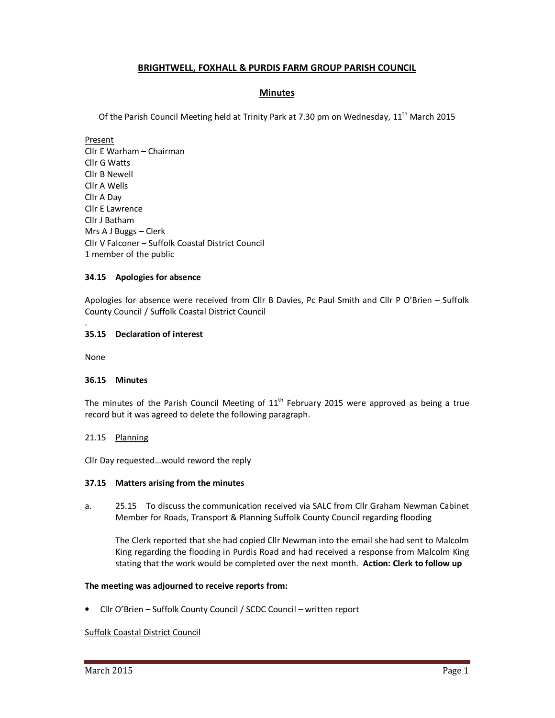# **BRIGHTWELL, FOXHALL & PURDIS FARM GROUP PARISH COUNCIL**

# **Minutes**

Of the Parish Council Meeting held at Trinity Park at 7.30 pm on Wednesday, 11<sup>th</sup> March 2015

Present Cllr E Warham – Chairman Cllr G Watts Cllr B Newell Cllr A Wells Cllr A Day Cllr E Lawrence Cllr J Batham Mrs A J Buggs – Clerk Cllr V Falconer – Suffolk Coastal District Council 1 member of the public

# **34.15 Apologies for absence**

Apologies for absence were received from Cllr B Davies, Pc Paul Smith and Cllr P O'Brien – Suffolk County Council / Suffolk Coastal District Council

# **35.15 Declaration of interest**

None

.

# **36.15 Minutes**

The minutes of the Parish Council Meeting of  $11<sup>th</sup>$  February 2015 were approved as being a true record but it was agreed to delete the following paragraph.

# 21.15 Planning

Cllr Day requested…would reword the reply

# **37.15 Matters arising from the minutes**

a. 25.15 To discuss the communication received via SALC from Cllr Graham Newman Cabinet Member for Roads, Transport & Planning Suffolk County Council regarding flooding

 The Clerk reported that she had copied Cllr Newman into the email she had sent to Malcolm King regarding the flooding in Purdis Road and had received a response from Malcolm King stating that the work would be completed over the next month. **Action: Clerk to follow up**

# **The meeting was adjourned to receive reports from:**

• Cllr O'Brien – Suffolk County Council / SCDC Council – written report

# Suffolk Coastal District Council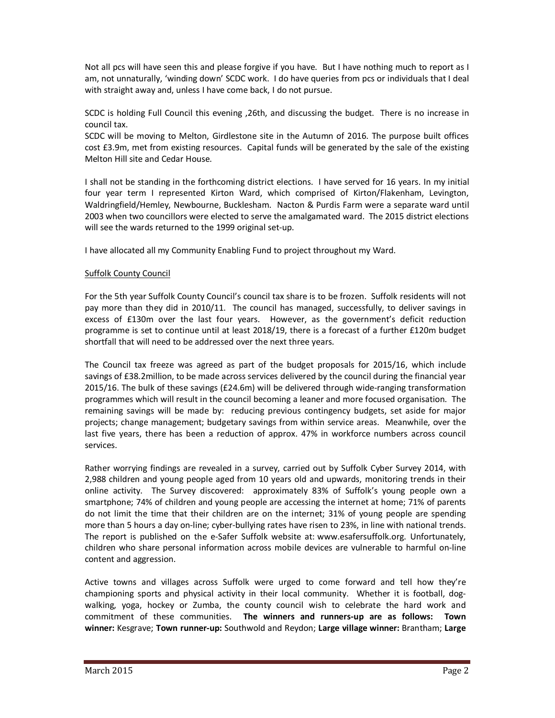Not all pcs will have seen this and please forgive if you have. But I have nothing much to report as I am, not unnaturally, 'winding down' SCDC work. I do have queries from pcs or individuals that I deal with straight away and, unless I have come back, I do not pursue.

SCDC is holding Full Council this evening ,26th, and discussing the budget. There is no increase in council tax.

SCDC will be moving to Melton, Girdlestone site in the Autumn of 2016. The purpose built offices cost £3.9m, met from existing resources. Capital funds will be generated by the sale of the existing Melton Hill site and Cedar House.

I shall not be standing in the forthcoming district elections. I have served for 16 years. In my initial four year term I represented Kirton Ward, which comprised of Kirton/Flakenham, Levington, Waldringfield/Hemley, Newbourne, Bucklesham. Nacton & Purdis Farm were a separate ward until 2003 when two councillors were elected to serve the amalgamated ward. The 2015 district elections will see the wards returned to the 1999 original set-up.

I have allocated all my Community Enabling Fund to project throughout my Ward.

# Suffolk County Council

For the 5th year Suffolk County Council's council tax share is to be frozen. Suffolk residents will not pay more than they did in 2010/11. The council has managed, successfully, to deliver savings in excess of £130m over the last four years. However, as the government's deficit reduction programme is set to continue until at least 2018/19, there is a forecast of a further £120m budget shortfall that will need to be addressed over the next three years.

The Council tax freeze was agreed as part of the budget proposals for 2015/16, which include savings of £38.2million, to be made across services delivered by the council during the financial year 2015/16. The bulk of these savings (£24.6m) will be delivered through wide-ranging transformation programmes which will result in the council becoming a leaner and more focused organisation. The remaining savings will be made by: reducing previous contingency budgets, set aside for major projects; change management; budgetary savings from within service areas. Meanwhile, over the last five years, there has been a reduction of approx. 47% in workforce numbers across council services.

Rather worrying findings are revealed in a survey, carried out by Suffolk Cyber Survey 2014, with 2,988 children and young people aged from 10 years old and upwards, monitoring trends in their online activity. The Survey discovered: approximately 83% of Suffolk's young people own a smartphone; 74% of children and young people are accessing the internet at home; 71% of parents do not limit the time that their children are on the internet; 31% of young people are spending more than 5 hours a day on-line; cyber-bullying rates have risen to 23%, in line with national trends. The report is published on the e-Safer Suffolk website at: www.esafersuffolk.org. Unfortunately, children who share personal information across mobile devices are vulnerable to harmful on-line content and aggression.

Active towns and villages across Suffolk were urged to come forward and tell how they're championing sports and physical activity in their local community. Whether it is football, dogwalking, yoga, hockey or Zumba, the county council wish to celebrate the hard work and commitment of these communities. **The winners and runners-up are as follows: Town winner:** Kesgrave; **Town runner-up:** Southwold and Reydon; **Large village winner:** Brantham; **Large**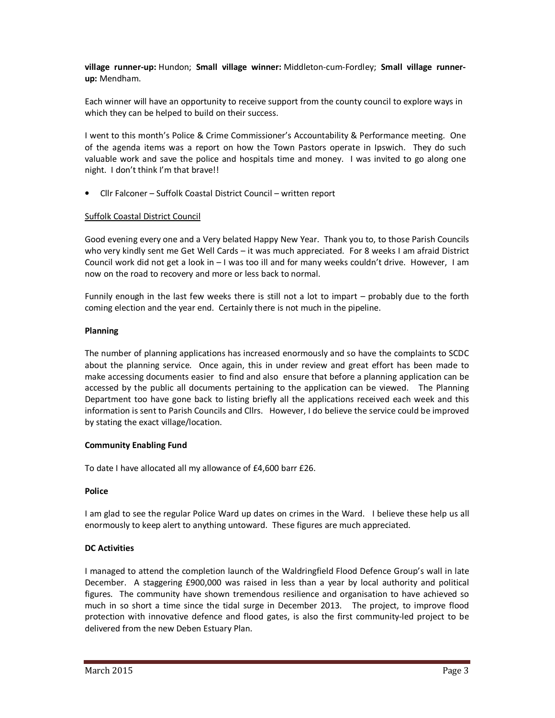**village runner-up:** Hundon; **Small village winner:** Middleton-cum-Fordley; **Small village runnerup:** Mendham.

Each winner will have an opportunity to receive support from the county council to explore ways in which they can be helped to build on their success.

I went to this month's Police & Crime Commissioner's Accountability & Performance meeting. One of the agenda items was a report on how the Town Pastors operate in Ipswich. They do such valuable work and save the police and hospitals time and money. I was invited to go along one night. I don't think I'm that brave!!

• Cllr Falconer – Suffolk Coastal District Council – written report

# Suffolk Coastal District Council

Good evening every one and a Very belated Happy New Year. Thank you to, to those Parish Councils who very kindly sent me Get Well Cards – it was much appreciated. For 8 weeks I am afraid District Council work did not get a look in – I was too ill and for many weeks couldn't drive. However, I am now on the road to recovery and more or less back to normal.

Funnily enough in the last few weeks there is still not a lot to impart – probably due to the forth coming election and the year end. Certainly there is not much in the pipeline.

# **Planning**

The number of planning applications has increased enormously and so have the complaints to SCDC about the planning service. Once again, this in under review and great effort has been made to make accessing documents easier to find and also ensure that before a planning application can be accessed by the public all documents pertaining to the application can be viewed. The Planning Department too have gone back to listing briefly all the applications received each week and this information is sent to Parish Councils and Cllrs. However, I do believe the service could be improved by stating the exact village/location.

# **Community Enabling Fund**

To date I have allocated all my allowance of £4,600 barr £26.

# **Police**

I am glad to see the regular Police Ward up dates on crimes in the Ward. I believe these help us all enormously to keep alert to anything untoward. These figures are much appreciated.

# **DC Activities**

I managed to attend the completion launch of the Waldringfield Flood Defence Group's wall in late December. A staggering £900,000 was raised in less than a year by local authority and political figures. The community have shown tremendous resilience and organisation to have achieved so much in so short a time since the tidal surge in December 2013. The project, to improve flood protection with innovative defence and flood gates, is also the first community-led project to be delivered from the new Deben Estuary Plan.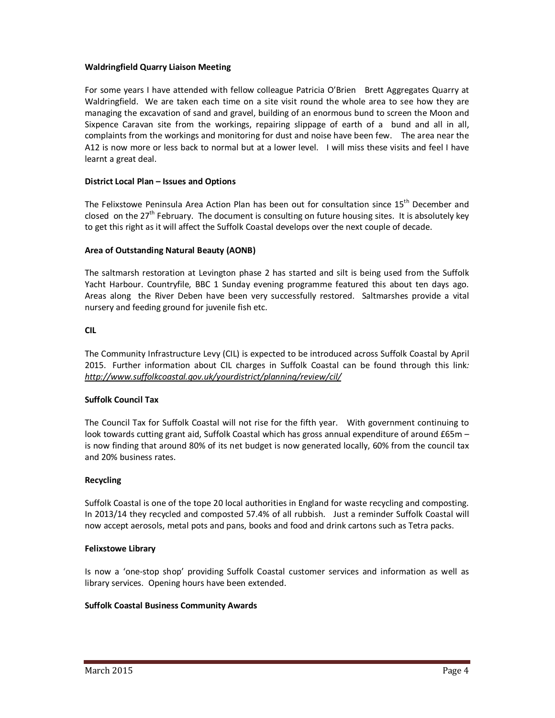# **Waldringfield Quarry Liaison Meeting**

For some years I have attended with fellow colleague Patricia O'Brien Brett Aggregates Quarry at Waldringfield. We are taken each time on a site visit round the whole area to see how they are managing the excavation of sand and gravel, building of an enormous bund to screen the Moon and Sixpence Caravan site from the workings, repairing slippage of earth of a bund and all in all, complaints from the workings and monitoring for dust and noise have been few. The area near the A12 is now more or less back to normal but at a lower level. I will miss these visits and feel I have learnt a great deal.

## **District Local Plan – Issues and Options**

The Felixstowe Peninsula Area Action Plan has been out for consultation since 15<sup>th</sup> December and closed on the  $27<sup>th</sup>$  February. The document is consulting on future housing sites. It is absolutely key to get this right as it will affect the Suffolk Coastal develops over the next couple of decade.

# **Area of Outstanding Natural Beauty (AONB)**

The saltmarsh restoration at Levington phase 2 has started and silt is being used from the Suffolk Yacht Harbour. Countryfile, BBC 1 Sunday evening programme featured this about ten days ago. Areas along the River Deben have been very successfully restored. Saltmarshes provide a vital nursery and feeding ground for juvenile fish etc.

## **CIL**

The Community Infrastructure Levy (CIL) is expected to be introduced across Suffolk Coastal by April 2015. Further information about CIL charges in Suffolk Coastal can be found through this link*: http://www.suffolkcoastal.gov.uk/yourdistrict/planning/review/cil/* 

# **Suffolk Council Tax**

The Council Tax for Suffolk Coastal will not rise for the fifth year. With government continuing to look towards cutting grant aid, Suffolk Coastal which has gross annual expenditure of around £65m is now finding that around 80% of its net budget is now generated locally, 60% from the council tax and 20% business rates.

### **Recycling**

Suffolk Coastal is one of the tope 20 local authorities in England for waste recycling and composting. In 2013/14 they recycled and composted 57.4% of all rubbish. Just a reminder Suffolk Coastal will now accept aerosols, metal pots and pans, books and food and drink cartons such as Tetra packs.

### **Felixstowe Library**

Is now a 'one-stop shop' providing Suffolk Coastal customer services and information as well as library services. Opening hours have been extended.

### **Suffolk Coastal Business Community Awards**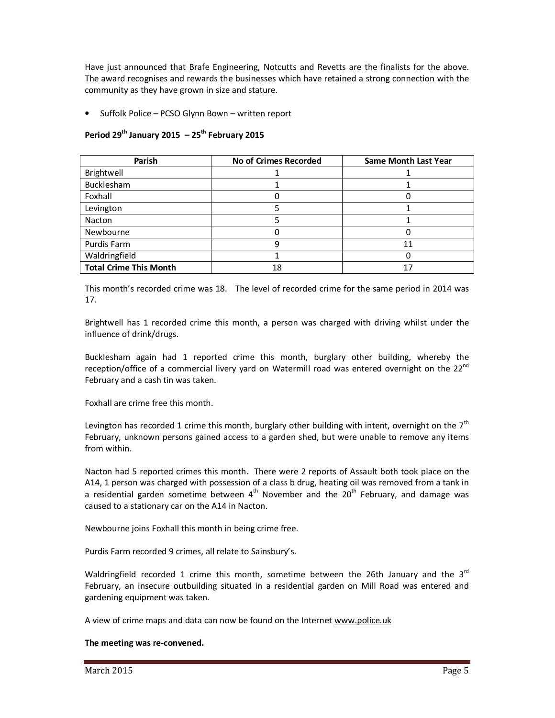Have just announced that Brafe Engineering, Notcutts and Revetts are the finalists for the above. The award recognises and rewards the businesses which have retained a strong connection with the community as they have grown in size and stature.

• Suffolk Police – PCSO Glynn Bown – written report

# **Period 29th January 2015 – 25th February 2015**

| Parish                        | <b>No of Crimes Recorded</b> | <b>Same Month Last Year</b> |
|-------------------------------|------------------------------|-----------------------------|
| Brightwell                    |                              |                             |
| Bucklesham                    |                              |                             |
| Foxhall                       |                              |                             |
| Levington                     |                              |                             |
| Nacton                        |                              |                             |
| Newbourne                     |                              |                             |
| Purdis Farm                   |                              | 11                          |
| Waldringfield                 |                              |                             |
| <b>Total Crime This Month</b> | 18                           |                             |

This month's recorded crime was 18. The level of recorded crime for the same period in 2014 was 17.

Brightwell has 1 recorded crime this month, a person was charged with driving whilst under the influence of drink/drugs.

Bucklesham again had 1 reported crime this month, burglary other building, whereby the reception/office of a commercial livery yard on Watermill road was entered overnight on the 22<sup>nd</sup> February and a cash tin was taken.

Foxhall are crime free this month.

Levington has recorded 1 crime this month, burglary other building with intent, overnight on the  $7<sup>th</sup>$ February, unknown persons gained access to a garden shed, but were unable to remove any items from within.

Nacton had 5 reported crimes this month. There were 2 reports of Assault both took place on the A14, 1 person was charged with possession of a class b drug, heating oil was removed from a tank in a residential garden sometime between  $4<sup>th</sup>$  November and the  $20<sup>th</sup>$  February, and damage was caused to a stationary car on the A14 in Nacton.

Newbourne joins Foxhall this month in being crime free.

Purdis Farm recorded 9 crimes, all relate to Sainsbury's.

Waldringfield recorded 1 crime this month, sometime between the 26th January and the  $3<sup>rd</sup>$ February, an insecure outbuilding situated in a residential garden on Mill Road was entered and gardening equipment was taken.

A view of crime maps and data can now be found on the Internet www.police.uk

### **The meeting was re-convened.**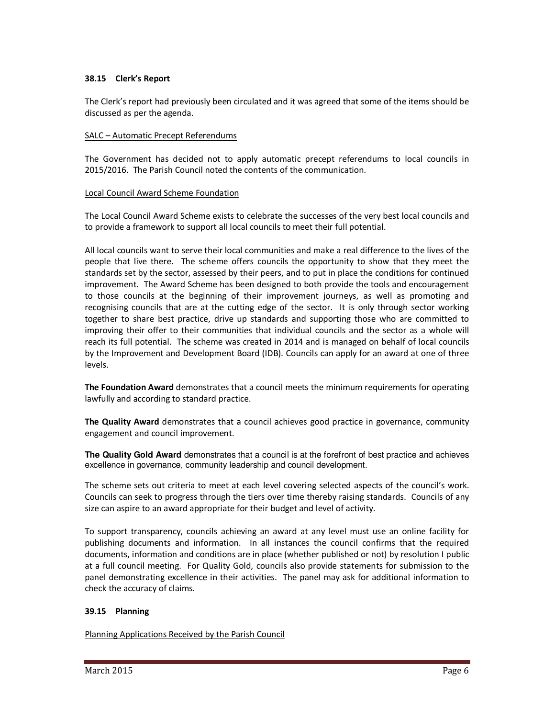## **38.15 Clerk's Report**

The Clerk's report had previously been circulated and it was agreed that some of the items should be discussed as per the agenda.

## SALC – Automatic Precept Referendums

The Government has decided not to apply automatic precept referendums to local councils in 2015/2016. The Parish Council noted the contents of the communication.

## Local Council Award Scheme Foundation

The Local Council Award Scheme exists to celebrate the successes of the very best local councils and to provide a framework to support all local councils to meet their full potential.

All local councils want to serve their local communities and make a real difference to the lives of the people that live there. The scheme offers councils the opportunity to show that they meet the standards set by the sector, assessed by their peers, and to put in place the conditions for continued improvement. The Award Scheme has been designed to both provide the tools and encouragement to those councils at the beginning of their improvement journeys, as well as promoting and recognising councils that are at the cutting edge of the sector. It is only through sector working together to share best practice, drive up standards and supporting those who are committed to improving their offer to their communities that individual councils and the sector as a whole will reach its full potential. The scheme was created in 2014 and is managed on behalf of local councils by the Improvement and Development Board (IDB). Councils can apply for an award at one of three levels.

**The Foundation Award** demonstrates that a council meets the minimum requirements for operating lawfully and according to standard practice.

**The Quality Award** demonstrates that a council achieves good practice in governance, community engagement and council improvement.

**The Quality Gold Award** demonstrates that a council is at the forefront of best practice and achieves excellence in governance, community leadership and council development.

The scheme sets out criteria to meet at each level covering selected aspects of the council's work. Councils can seek to progress through the tiers over time thereby raising standards. Councils of any size can aspire to an award appropriate for their budget and level of activity.

To support transparency, councils achieving an award at any level must use an online facility for publishing documents and information. In all instances the council confirms that the required documents, information and conditions are in place (whether published or not) by resolution I public at a full council meeting. For Quality Gold, councils also provide statements for submission to the panel demonstrating excellence in their activities. The panel may ask for additional information to check the accuracy of claims.

# **39.15 Planning**

Planning Applications Received by the Parish Council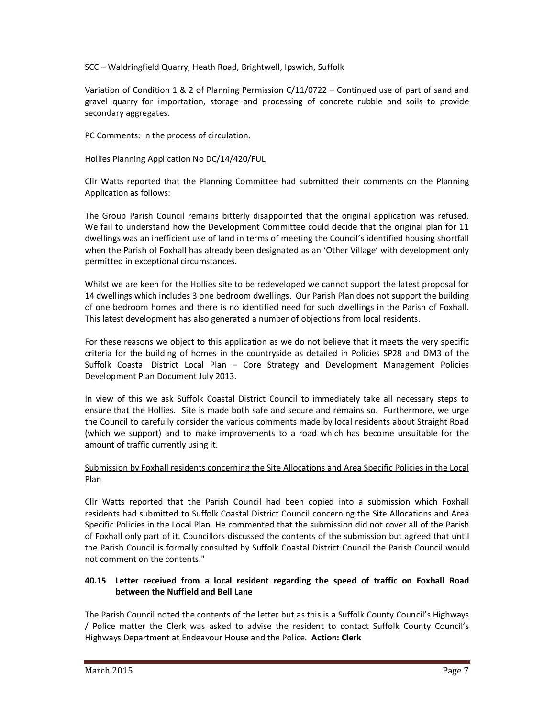SCC – Waldringfield Quarry, Heath Road, Brightwell, Ipswich, Suffolk

Variation of Condition 1 & 2 of Planning Permission C/11/0722 – Continued use of part of sand and gravel quarry for importation, storage and processing of concrete rubble and soils to provide secondary aggregates.

PC Comments: In the process of circulation.

# Hollies Planning Application No DC/14/420/FUL

Cllr Watts reported that the Planning Committee had submitted their comments on the Planning Application as follows:

The Group Parish Council remains bitterly disappointed that the original application was refused. We fail to understand how the Development Committee could decide that the original plan for 11 dwellings was an inefficient use of land in terms of meeting the Council's identified housing shortfall when the Parish of Foxhall has already been designated as an 'Other Village' with development only permitted in exceptional circumstances.

Whilst we are keen for the Hollies site to be redeveloped we cannot support the latest proposal for 14 dwellings which includes 3 one bedroom dwellings. Our Parish Plan does not support the building of one bedroom homes and there is no identified need for such dwellings in the Parish of Foxhall. This latest development has also generated a number of objections from local residents.

For these reasons we object to this application as we do not believe that it meets the very specific criteria for the building of homes in the countryside as detailed in Policies SP28 and DM3 of the Suffolk Coastal District Local Plan – Core Strategy and Development Management Policies Development Plan Document July 2013.

In view of this we ask Suffolk Coastal District Council to immediately take all necessary steps to ensure that the Hollies. Site is made both safe and secure and remains so. Furthermore, we urge the Council to carefully consider the various comments made by local residents about Straight Road (which we support) and to make improvements to a road which has become unsuitable for the amount of traffic currently using it.

# Submission by Foxhall residents concerning the Site Allocations and Area Specific Policies in the Local Plan

Cllr Watts reported that the Parish Council had been copied into a submission which Foxhall residents had submitted to Suffolk Coastal District Council concerning the Site Allocations and Area Specific Policies in the Local Plan. He commented that the submission did not cover all of the Parish of Foxhall only part of it. Councillors discussed the contents of the submission but agreed that until the Parish Council is formally consulted by Suffolk Coastal District Council the Parish Council would not comment on the contents."

# **40.15 Letter received from a local resident regarding the speed of traffic on Foxhall Road between the Nuffield and Bell Lane**

The Parish Council noted the contents of the letter but as this is a Suffolk County Council's Highways / Police matter the Clerk was asked to advise the resident to contact Suffolk County Council's Highways Department at Endeavour House and the Police. **Action: Clerk**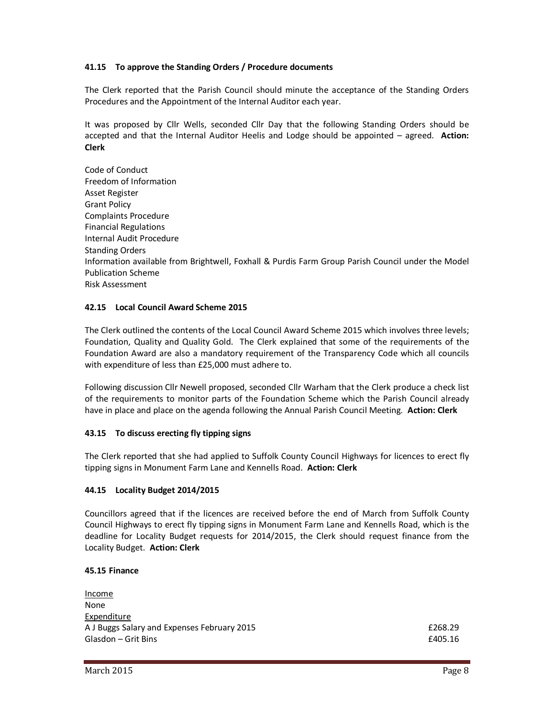# **41.15 To approve the Standing Orders / Procedure documents**

The Clerk reported that the Parish Council should minute the acceptance of the Standing Orders Procedures and the Appointment of the Internal Auditor each year.

It was proposed by Cllr Wells, seconded Cllr Day that the following Standing Orders should be accepted and that the Internal Auditor Heelis and Lodge should be appointed – agreed. **Action: Clerk** 

Code of Conduct Freedom of Information Asset Register Grant Policy Complaints Procedure Financial Regulations Internal Audit Procedure Standing Orders Information available from Brightwell, Foxhall & Purdis Farm Group Parish Council under the Model Publication Scheme Risk Assessment

## **42.15 Local Council Award Scheme 2015**

The Clerk outlined the contents of the Local Council Award Scheme 2015 which involves three levels; Foundation, Quality and Quality Gold. The Clerk explained that some of the requirements of the Foundation Award are also a mandatory requirement of the Transparency Code which all councils with expenditure of less than £25,000 must adhere to.

Following discussion Cllr Newell proposed, seconded Cllr Warham that the Clerk produce a check list of the requirements to monitor parts of the Foundation Scheme which the Parish Council already have in place and place on the agenda following the Annual Parish Council Meeting. **Action: Clerk** 

# **43.15 To discuss erecting fly tipping signs**

The Clerk reported that she had applied to Suffolk County Council Highways for licences to erect fly tipping signs in Monument Farm Lane and Kennells Road. **Action: Clerk** 

### **44.15 Locality Budget 2014/2015**

Councillors agreed that if the licences are received before the end of March from Suffolk County Council Highways to erect fly tipping signs in Monument Farm Lane and Kennells Road, which is the deadline for Locality Budget requests for 2014/2015, the Clerk should request finance from the Locality Budget. **Action: Clerk** 

### **45.15 Finance**

| Income                                      |         |
|---------------------------------------------|---------|
| None                                        |         |
| Expenditure                                 |         |
| A J Buggs Salary and Expenses February 2015 | £268.29 |
| Glasdon – Grit Bins                         | £405.16 |